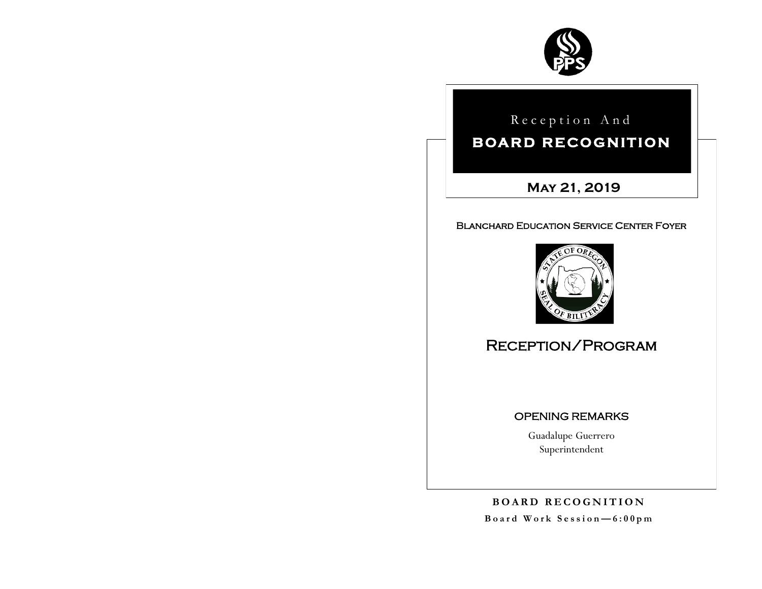

Reception And

# **BOARD RECOGNITION**

**May 21, 2019**

## Blanchard Education Service Center Foyer



# Reception/Program

## OPENING REMARKS

Guadalupe Guerrero Superintendent

**B O A R D R E C O G N I T I O N B o a r d W o r k S e s s i o n — 6 : 0 0 p m**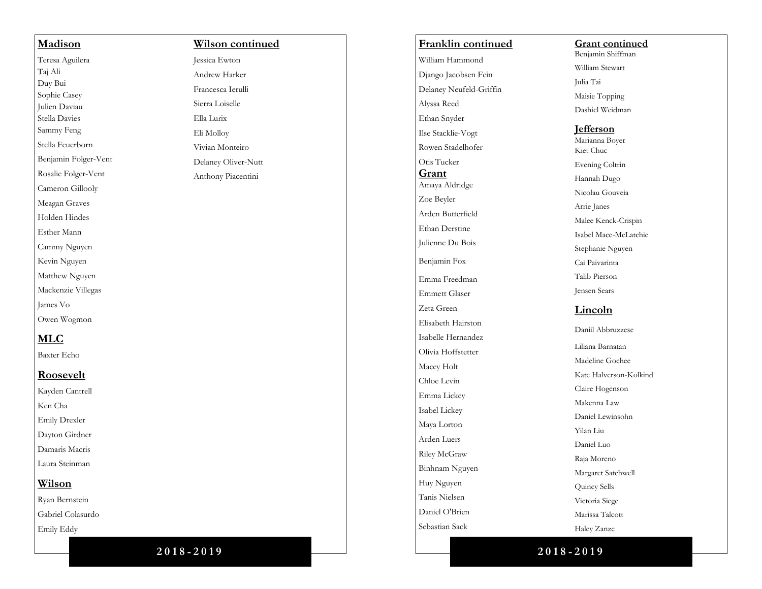# Benjamin Folger -Vent **Wilson continued** Jessica Ewton Andrew Harker Francesca Ierulli Sierra Loiselle Ella Lurix Eli Molloy Vivian Monteiro Delaney Oliver -Nutt Anthony Piacentini

**Madison** Teresa Aguilera Taj Ali Duy Bui Sophie Casey Julien Daviau Stella Davies Sammy Feng Stella Feuerborn

Rosalie Folger -Vent Cameron Gillooly Meagan Graves Holden Hindes Esther Mann Cammy Nguyen Kevin Nguyen Matthew Nguyen Mackenzie Villegas

James Vo Owen Wogmon

**MLC** Baxter Echo

**Roosevelt** Kayden Cantrell Ken Cha Emily Drexler Dayton Girdner Damaris Macris Laura Steinman

**Wilson** Ryan Bernstein Gabriel Colasurdo Emily Eddy

# **Franklin continued** William Hammond Django Jacobsen Fein Delaney Neufeld -Griffin Alyssa Reed Ethan Snyder Ilse Stacklie -Vogt Rowen Stadelhofer Otis Tucker **Grant** Amaya Aldridge Zoe Beyler Arden Butterfield Ethan Derstine Julienne Du Bois Benjamin Fox Emma Freedman Emmett Glaser Zeta Green Elisabeth Hairston Isabelle Hernandez Olivia Hoffstetter Macey Holt Chloe Levin Emma Lickey Isabel Lickey Maya Lorton Arden Luers Riley McGraw Binhnam Nguyen Huy Nguyen Tanis Nielsen Daniel O'Brien Sebastian Sack

### **Grant continued**

Benjamin Shiffman William Stewart

Julia Tai

Maisie Topping

Dashiel Weidman

#### **Jefferson**

Marianna Boyer Kiet Chuc Evening Coltrin Hannah Dugo Nicolau Gouveia Arrie Janes Malee Kenck -Crispin Isabel Mace -McLatchie Stephanie Nguyen Cai Paivarinta Talib Pierson Jensen Sears

## **Lincoln**

Daniil Abbruzzese Liliana Barnatan Madeline Gochee Kate Halverson -Kolkind Claire Hogenson Makenna Law Daniel Lewinsohn Yilan Liu Daniel Luo Raja Moreno Margaret Satchwell Quincy Sells Victoria Siege Marissa Talcott Haley Zanze

**2 0 1 8 - 2 0 1 9**